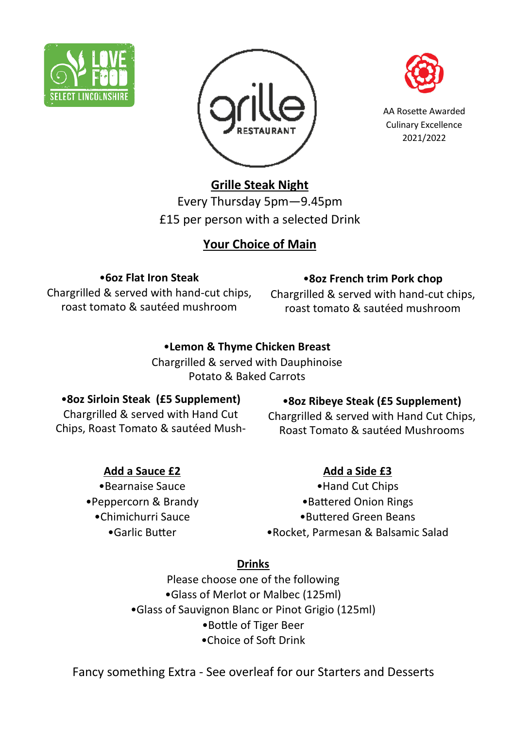





AA Rosette Awarded Culinary Excellence 2021/2022

# **Grille Steak Night**

Every Thursday 5pm—9.45pm £15 per person with a selected Drink

## **Your Choice of Main**

#### •**6oz Flat Iron Steak**

Chargrilled & served with hand-cut chips, roast tomato & sautéed mushroom

#### •**8oz French trim Pork chop**

Chargrilled & served with hand-cut chips, roast tomato & sautéed mushroom

#### •**Lemon & Thyme Chicken Breast**

Chargrilled & served with Dauphinoise Potato & Baked Carrots

#### •**8oz Sirloin Steak (£5 Supplement)**

Chargrilled & served with Hand Cut Chips, Roast Tomato & sautéed Mush-

## **Add a Sauce £2**

•Bearnaise Sauce •Peppercorn & Brandy •Chimichurri Sauce •Garlic Butter

## •**8oz Ribeye Steak (£5 Supplement)**

Chargrilled & served with Hand Cut Chips, Roast Tomato & sautéed Mushrooms

## **Add a Side £3**

•Hand Cut Chips •Battered Onion Rings •Buttered Green Beans •Rocket, Parmesan & Balsamic Salad

#### **Drinks**

Please choose one of the following •Glass of Merlot or Malbec (125ml) •Glass of Sauvignon Blanc or Pinot Grigio (125ml) •Bottle of Tiger Beer •Choice of Soft Drink

Fancy something Extra - See overleaf for our Starters and Desserts